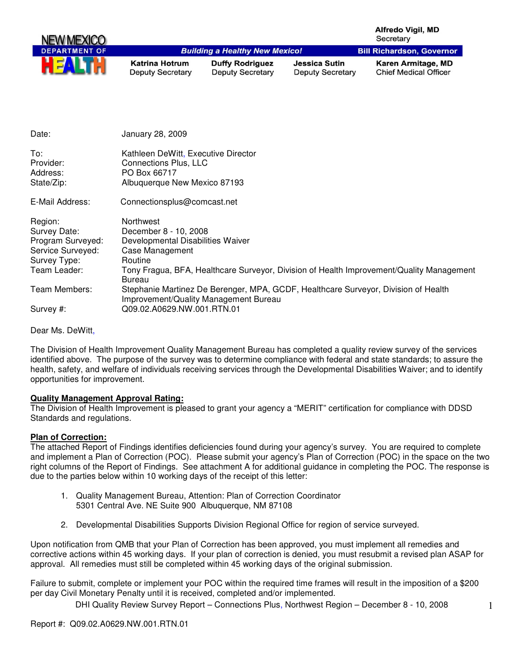| <b>NEW MEXICO</b>    |                                                  |                                                   |                                          | <b>Alfredo Vigil, MD</b><br>Secretary              |
|----------------------|--------------------------------------------------|---------------------------------------------------|------------------------------------------|----------------------------------------------------|
| <b>DEPARTMENT OF</b> |                                                  | <b>Building a Healthy New Mexico!</b>             |                                          | <b>Bill Richardson, Governor</b>                   |
|                      | <b>Katrina Hotrum</b><br><b>Deputy Secretary</b> | <b>Duffy Rodriguez</b><br><b>Deputy Secretary</b> | Jessica Sutin<br><b>Deputy Secretary</b> | Karen Armitage, MD<br><b>Chief Medical Officer</b> |
| Date:                | January 28, 2009                                 |                                                   |                                          |                                                    |
| To:                  | Kathleen DeWitt, Executive Director              |                                                   |                                          |                                                    |

| 10.        | <b>Natriegri Devvitt, Executive Director</b> |
|------------|----------------------------------------------|
| Provider:  | Connections Plus, LLC                        |
| Address:   | PO Box 66717                                 |
| State/Zip: | Albuquerque New Mexico 87193                 |
|            |                                              |

E-Mail Address: Connectionsplus@comcast.net

| Region:<br>Survey Date: | <b>Northwest</b><br>December 8 - 10, 2008                                                                                   |
|-------------------------|-----------------------------------------------------------------------------------------------------------------------------|
| Program Surveyed:       | Developmental Disabilities Waiver                                                                                           |
| Service Surveyed:       | Case Management                                                                                                             |
| Survey Type:            | Routine                                                                                                                     |
| Team Leader:            | Tony Fragua, BFA, Healthcare Surveyor, Division of Health Improvement/Quality Management<br>Bureau                          |
| Team Members:           | Stephanie Martinez De Berenger, MPA, GCDF, Healthcare Surveyor, Division of Health<br>Improvement/Quality Management Bureau |
| Survey #:               | Q09.02.A0629.NW.001.RTN.01                                                                                                  |

Dear Ms. DeWitt,

The Division of Health Improvement Quality Management Bureau has completed a quality review survey of the services identified above. The purpose of the survey was to determine compliance with federal and state standards; to assure the health, safety, and welfare of individuals receiving services through the Developmental Disabilities Waiver; and to identify opportunities for improvement.

#### **Quality Management Approval Rating:**

The Division of Health Improvement is pleased to grant your agency a "MERIT" certification for compliance with DDSD Standards and regulations.

#### **Plan of Correction:**

The attached Report of Findings identifies deficiencies found during your agency's survey. You are required to complete and implement a Plan of Correction (POC). Please submit your agency's Plan of Correction (POC) in the space on the two right columns of the Report of Findings. See attachment A for additional guidance in completing the POC. The response is due to the parties below within 10 working days of the receipt of this letter:

- 1. Quality Management Bureau, Attention: Plan of Correction Coordinator 5301 Central Ave. NE Suite 900 Albuquerque, NM 87108
- 2. Developmental Disabilities Supports Division Regional Office for region of service surveyed.

Upon notification from QMB that your Plan of Correction has been approved, you must implement all remedies and corrective actions within 45 working days. If your plan of correction is denied, you must resubmit a revised plan ASAP for approval. All remedies must still be completed within 45 working days of the original submission.

Failure to submit, complete or implement your POC within the required time frames will result in the imposition of a \$200 per day Civil Monetary Penalty until it is received, completed and/or implemented.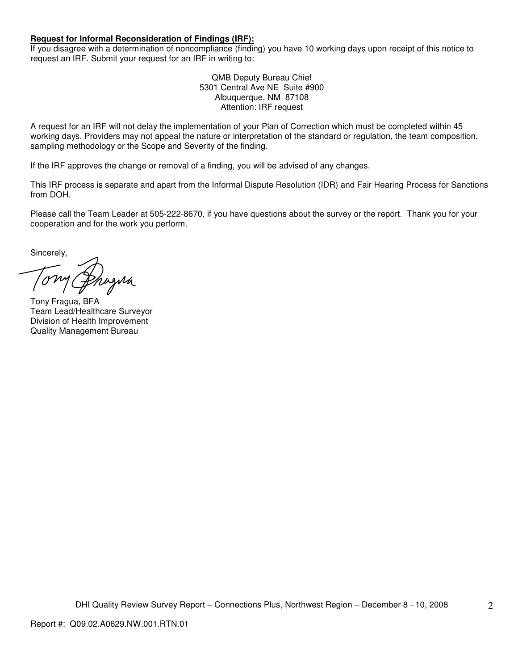#### **Request for Informal Reconsideration of Findings (IRF):**

If you disagree with a determination of noncompliance (finding) you have 10 working days upon receipt of this notice to request an IRF. Submit your request for an IRF in writing to:

> QMB Deputy Bureau Chief 5301 Central Ave NE Suite #900 Albuquerque, NM 87108 Attention: IRF request

A request for an IRF will not delay the implementation of your Plan of Correction which must be completed within 45 working days. Providers may not appeal the nature or interpretation of the standard or regulation, the team composition, sampling methodology or the Scope and Severity of the finding.

If the IRF approves the change or removal of a finding, you will be advised of any changes.

This IRF process is separate and apart from the Informal Dispute Resolution (IDR) and Fair Hearing Process for Sanctions from DOH.

Please call the Team Leader at 505-222-8670, if you have questions about the survey or the report. Thank you for your cooperation and for the work you perform.

Sincerely,

azua

Tony Fragua, BFA Team Lead/Healthcare Surveyor Division of Health Improvement Quality Management Bureau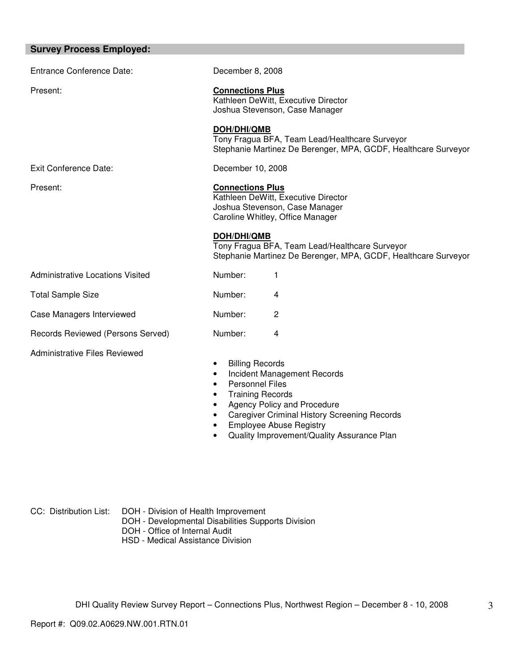| <b>Survey Process Employed:</b>         |                                                                                                                                                                                                       |  |  |
|-----------------------------------------|-------------------------------------------------------------------------------------------------------------------------------------------------------------------------------------------------------|--|--|
| <b>Entrance Conference Date:</b>        | December 8, 2008                                                                                                                                                                                      |  |  |
| Present:                                | <b>Connections Plus</b><br>Kathleen DeWitt, Executive Director<br>Joshua Stevenson, Case Manager                                                                                                      |  |  |
|                                         | <b>DOH/DHI/QMB</b><br>Tony Fragua BFA, Team Lead/Healthcare Surveyor<br>Stephanie Martinez De Berenger, MPA, GCDF, Healthcare Surveyor                                                                |  |  |
| Exit Conference Date:                   | December 10, 2008                                                                                                                                                                                     |  |  |
| Present:                                | <b>Connections Plus</b><br>Kathleen DeWitt, Executive Director<br>Joshua Stevenson, Case Manager<br>Caroline Whitley, Office Manager<br>DOH/DHI/QMB<br>Tony Fragua BFA, Team Lead/Healthcare Surveyor |  |  |
|                                         | Stephanie Martinez De Berenger, MPA, GCDF, Healthcare Surveyor                                                                                                                                        |  |  |
| <b>Administrative Locations Visited</b> | Number:<br>1                                                                                                                                                                                          |  |  |
| <b>Total Sample Size</b>                | Number:<br>4                                                                                                                                                                                          |  |  |
| Case Managers Interviewed               | Number:<br>2                                                                                                                                                                                          |  |  |
| Records Reviewed (Persons Served)       | Number:<br>4                                                                                                                                                                                          |  |  |
| <b>Administrative Files Reviewed</b>    | <b>Billing Records</b><br>Incident Management Records<br><b>Personnel Files</b>                                                                                                                       |  |  |

- Training Records
- Agency Policy and Procedure
- Caregiver Criminal History Screening Records
- Employee Abuse Registry
- Quality Improvement/Quality Assurance Plan

- CC: Distribution List: DOH Division of Health Improvement
	- DOH Developmental Disabilities Supports Division
	- DOH Office of Internal Audit
	- HSD Medical Assistance Division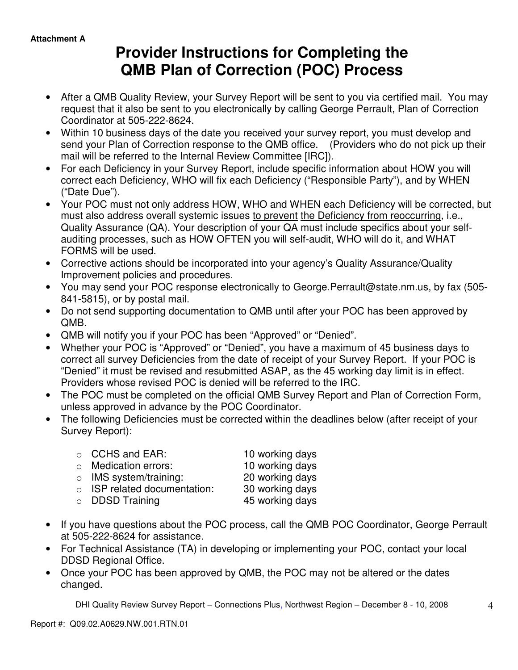# **Provider Instructions for Completing the QMB Plan of Correction (POC) Process**

- After a QMB Quality Review, your Survey Report will be sent to you via certified mail. You may request that it also be sent to you electronically by calling George Perrault, Plan of Correction Coordinator at 505-222-8624.
- Within 10 business days of the date you received your survey report, you must develop and send your Plan of Correction response to the QMB office. (Providers who do not pick up their mail will be referred to the Internal Review Committee [IRC]).
- For each Deficiency in your Survey Report, include specific information about HOW you will correct each Deficiency, WHO will fix each Deficiency ("Responsible Party"), and by WHEN ("Date Due").
- Your POC must not only address HOW, WHO and WHEN each Deficiency will be corrected, but must also address overall systemic issues to prevent the Deficiency from reoccurring, i.e., Quality Assurance (QA). Your description of your QA must include specifics about your selfauditing processes, such as HOW OFTEN you will self-audit, WHO will do it, and WHAT FORMS will be used.
- Corrective actions should be incorporated into your agency's Quality Assurance/Quality Improvement policies and procedures.
- You may send your POC response electronically to George.Perrault@state.nm.us, by fax (505- 841-5815), or by postal mail.
- Do not send supporting documentation to QMB until after your POC has been approved by QMB.
- QMB will notify you if your POC has been "Approved" or "Denied".
- Whether your POC is "Approved" or "Denied", you have a maximum of 45 business days to correct all survey Deficiencies from the date of receipt of your Survey Report. If your POC is "Denied" it must be revised and resubmitted ASAP, as the 45 working day limit is in effect. Providers whose revised POC is denied will be referred to the IRC.
- The POC must be completed on the official QMB Survey Report and Plan of Correction Form, unless approved in advance by the POC Coordinator.
- The following Deficiencies must be corrected within the deadlines below (after receipt of your Survey Report):

| $\circ$ CCHS and EAR:              | 10 working days |
|------------------------------------|-----------------|
| $\circ$ Medication errors:         | 10 working days |
| $\circ$ IMS system/training:       | 20 working days |
| $\circ$ ISP related documentation: | 30 working days |
| $\circ$ DDSD Training              | 45 working days |

- If you have questions about the POC process, call the QMB POC Coordinator, George Perrault at 505-222-8624 for assistance.
- For Technical Assistance (TA) in developing or implementing your POC, contact your local DDSD Regional Office.
- Once your POC has been approved by QMB, the POC may not be altered or the dates changed.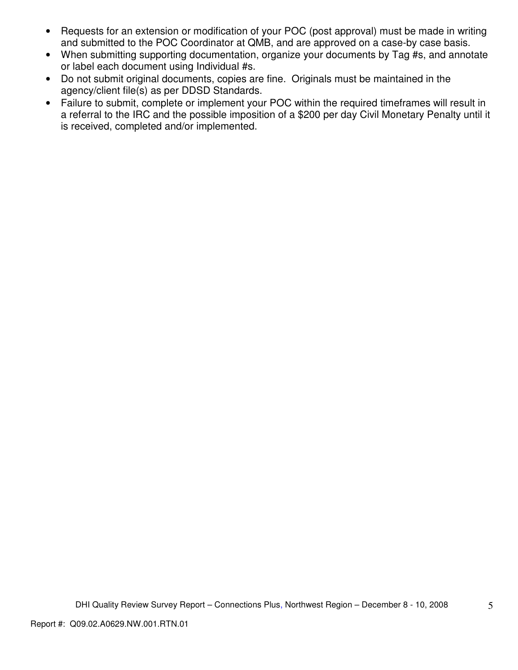- Requests for an extension or modification of your POC (post approval) must be made in writing and submitted to the POC Coordinator at QMB, and are approved on a case-by case basis.
- When submitting supporting documentation, organize your documents by Tag #s, and annotate or label each document using Individual #s.
- Do not submit original documents, copies are fine. Originals must be maintained in the agency/client file(s) as per DDSD Standards.
- Failure to submit, complete or implement your POC within the required timeframes will result in a referral to the IRC and the possible imposition of a \$200 per day Civil Monetary Penalty until it is received, completed and/or implemented.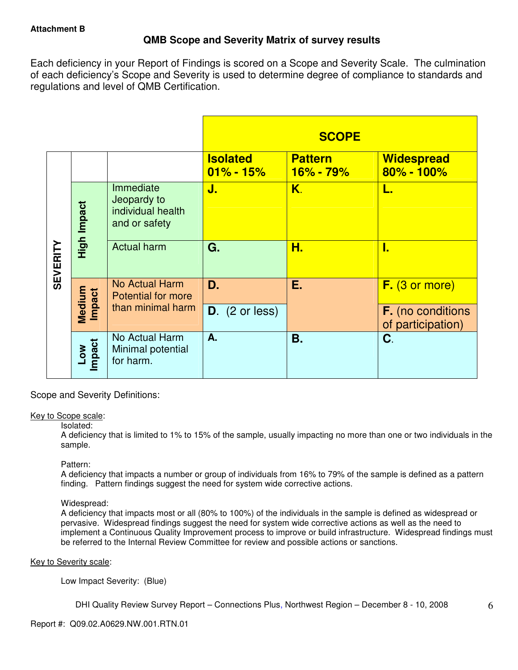# **QMB Scope and Severity Matrix of survey results**

Each deficiency in your Report of Findings is scored on a Scope and Severity Scale. The culmination of each deficiency's Scope and Severity is used to determine degree of compliance to standards and regulations and level of QMB Certification.

|                 |                  |                                                                |                                  | <b>SCOPE</b>                |                                               |
|-----------------|------------------|----------------------------------------------------------------|----------------------------------|-----------------------------|-----------------------------------------------|
|                 |                  |                                                                | <b>Isolated</b><br>$01\% - 15\%$ | <b>Pattern</b><br>16% - 79% | <b>Widespread</b><br>80% - 100%               |
| <b>SEVERITY</b> | High Impact      | Immediate<br>Jeopardy to<br>individual health<br>and or safety | J.                               | K.                          | L.                                            |
|                 |                  | <b>Actual harm</b>                                             | G.                               | Н.                          | I.                                            |
|                 |                  | No Actual Harm<br><b>Potential for more</b>                    | D.                               | Е.                          | $F.$ (3 or more)                              |
|                 | Medium<br>Impact | than minimal harm                                              | $D.$ (2 or less)                 |                             | <b>F.</b> (no conditions<br>of participation) |
|                 | Low<br>Impact    | No Actual Harm<br>Minimal potential<br>for harm.               | A.                               | Β.                          | C.                                            |

Scope and Severity Definitions:

#### Key to Scope scale:

#### Isolated:

A deficiency that is limited to 1% to 15% of the sample, usually impacting no more than one or two individuals in the sample.

#### Pattern:

A deficiency that impacts a number or group of individuals from 16% to 79% of the sample is defined as a pattern finding. Pattern findings suggest the need for system wide corrective actions.

## Widespread:

A deficiency that impacts most or all (80% to 100%) of the individuals in the sample is defined as widespread or pervasive. Widespread findings suggest the need for system wide corrective actions as well as the need to implement a Continuous Quality Improvement process to improve or build infrastructure. Widespread findings must be referred to the Internal Review Committee for review and possible actions or sanctions.

#### Key to Severity scale:

Low Impact Severity: (Blue)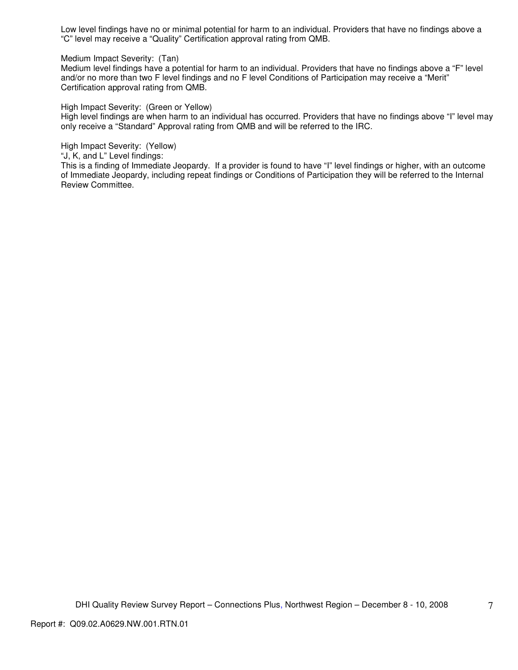Low level findings have no or minimal potential for harm to an individual. Providers that have no findings above a "C" level may receive a "Quality" Certification approval rating from QMB.

Medium Impact Severity: (Tan)

Medium level findings have a potential for harm to an individual. Providers that have no findings above a "F" level and/or no more than two F level findings and no F level Conditions of Participation may receive a "Merit" Certification approval rating from QMB.

High Impact Severity: (Green or Yellow)

High level findings are when harm to an individual has occurred. Providers that have no findings above "I" level may only receive a "Standard" Approval rating from QMB and will be referred to the IRC.

High Impact Severity: (Yellow)

"J, K, and L" Level findings:

This is a finding of Immediate Jeopardy. If a provider is found to have "I" level findings or higher, with an outcome of Immediate Jeopardy, including repeat findings or Conditions of Participation they will be referred to the Internal Review Committee.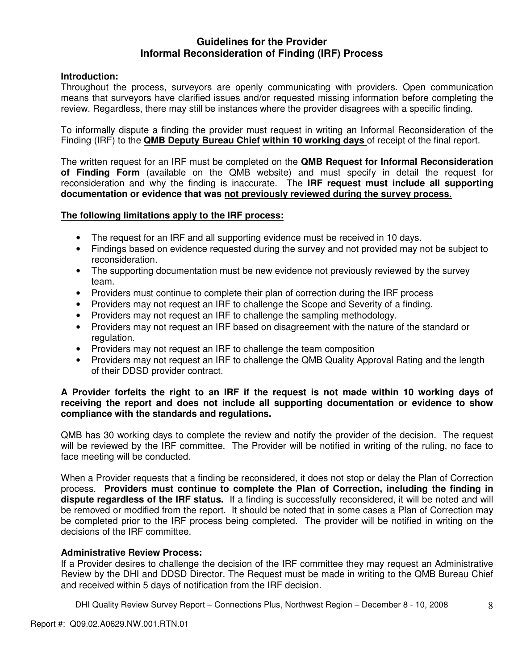# **Guidelines for the Provider Informal Reconsideration of Finding (IRF) Process**

## **Introduction:**

Throughout the process, surveyors are openly communicating with providers. Open communication means that surveyors have clarified issues and/or requested missing information before completing the review. Regardless, there may still be instances where the provider disagrees with a specific finding.

To informally dispute a finding the provider must request in writing an Informal Reconsideration of the Finding (IRF) to the **QMB Deputy Bureau Chief within 10 working days** of receipt of the final report.

The written request for an IRF must be completed on the **QMB Request for Informal Reconsideration of Finding Form** (available on the QMB website) and must specify in detail the request for reconsideration and why the finding is inaccurate. The **IRF request must include all supporting documentation or evidence that was not previously reviewed during the survey process.** 

### **The following limitations apply to the IRF process:**

- The request for an IRF and all supporting evidence must be received in 10 days.
- Findings based on evidence requested during the survey and not provided may not be subject to reconsideration.
- The supporting documentation must be new evidence not previously reviewed by the survey team.
- Providers must continue to complete their plan of correction during the IRF process
- Providers may not request an IRF to challenge the Scope and Severity of a finding.
- Providers may not request an IRF to challenge the sampling methodology.
- Providers may not request an IRF based on disagreement with the nature of the standard or regulation.
- Providers may not request an IRF to challenge the team composition
- Providers may not request an IRF to challenge the QMB Quality Approval Rating and the length of their DDSD provider contract.

### **A Provider forfeits the right to an IRF if the request is not made within 10 working days of receiving the report and does not include all supporting documentation or evidence to show compliance with the standards and regulations.**

QMB has 30 working days to complete the review and notify the provider of the decision. The request will be reviewed by the IRF committee. The Provider will be notified in writing of the ruling, no face to face meeting will be conducted.

When a Provider requests that a finding be reconsidered, it does not stop or delay the Plan of Correction process. **Providers must continue to complete the Plan of Correction, including the finding in dispute regardless of the IRF status.** If a finding is successfully reconsidered, it will be noted and will be removed or modified from the report. It should be noted that in some cases a Plan of Correction may be completed prior to the IRF process being completed. The provider will be notified in writing on the decisions of the IRF committee.

#### **Administrative Review Process:**

If a Provider desires to challenge the decision of the IRF committee they may request an Administrative Review by the DHI and DDSD Director. The Request must be made in writing to the QMB Bureau Chief and received within 5 days of notification from the IRF decision.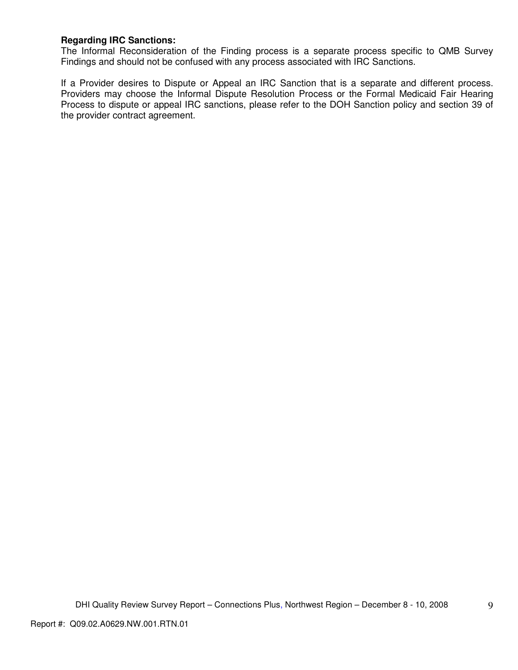## **Regarding IRC Sanctions:**

The Informal Reconsideration of the Finding process is a separate process specific to QMB Survey Findings and should not be confused with any process associated with IRC Sanctions.

If a Provider desires to Dispute or Appeal an IRC Sanction that is a separate and different process. Providers may choose the Informal Dispute Resolution Process or the Formal Medicaid Fair Hearing Process to dispute or appeal IRC sanctions, please refer to the DOH Sanction policy and section 39 of the provider contract agreement.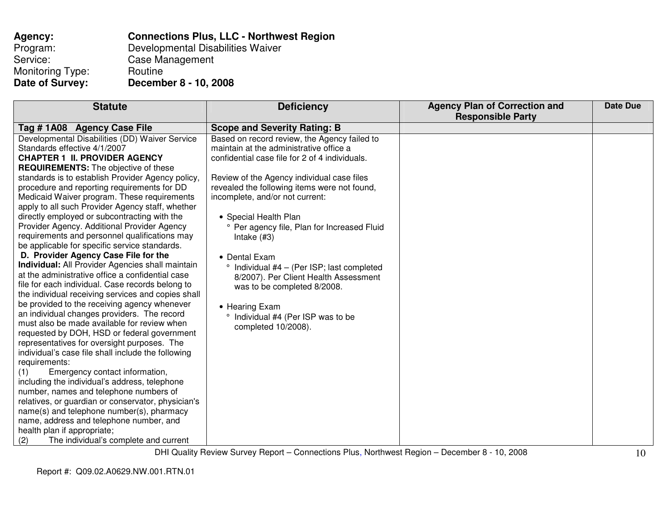| Agency:                 | <b>Connections Plus, LLC - Northwest Region</b> |
|-------------------------|-------------------------------------------------|
| Program:                | Developmental Disabilities Waiver               |
| Service:                | Case Management                                 |
| <b>Monitoring Type:</b> | Routine                                         |
| Date of Survey:         | December 8 - 10, 2008                           |

| <b>Statute</b>                                          | <b>Deficiency</b>                                  | <b>Agency Plan of Correction and</b> | <b>Date Due</b> |
|---------------------------------------------------------|----------------------------------------------------|--------------------------------------|-----------------|
|                                                         |                                                    | <b>Responsible Party</b>             |                 |
| Tag #1A08 Agency Case File                              | <b>Scope and Severity Rating: B</b>                |                                      |                 |
| Developmental Disabilities (DD) Waiver Service          | Based on record review, the Agency failed to       |                                      |                 |
| Standards effective 4/1/2007                            | maintain at the administrative office a            |                                      |                 |
| <b>CHAPTER 1 II. PROVIDER AGENCY</b>                    | confidential case file for 2 of 4 individuals.     |                                      |                 |
| <b>REQUIREMENTS:</b> The objective of these             |                                                    |                                      |                 |
| standards is to establish Provider Agency policy,       | Review of the Agency individual case files         |                                      |                 |
| procedure and reporting requirements for DD             | revealed the following items were not found,       |                                      |                 |
| Medicaid Waiver program. These requirements             | incomplete, and/or not current:                    |                                      |                 |
| apply to all such Provider Agency staff, whether        |                                                    |                                      |                 |
| directly employed or subcontracting with the            | • Special Health Plan                              |                                      |                 |
| Provider Agency. Additional Provider Agency             | ° Per agency file, Plan for Increased Fluid        |                                      |                 |
| requirements and personnel qualifications may           | Intake $(H3)$                                      |                                      |                 |
| be applicable for specific service standards.           |                                                    |                                      |                 |
| D. Provider Agency Case File for the                    | • Dental Exam                                      |                                      |                 |
| <b>Individual:</b> All Provider Agencies shall maintain | $\degree$ Individual #4 - (Per ISP; last completed |                                      |                 |
| at the administrative office a confidential case        | 8/2007). Per Client Health Assessment              |                                      |                 |
| file for each individual. Case records belong to        | was to be completed 8/2008.                        |                                      |                 |
| the individual receiving services and copies shall      |                                                    |                                      |                 |
| be provided to the receiving agency whenever            | • Hearing Exam                                     |                                      |                 |
| an individual changes providers. The record             | ° Individual #4 (Per ISP was to be                 |                                      |                 |
| must also be made available for review when             | completed 10/2008).                                |                                      |                 |
| requested by DOH, HSD or federal government             |                                                    |                                      |                 |
| representatives for oversight purposes. The             |                                                    |                                      |                 |
| individual's case file shall include the following      |                                                    |                                      |                 |
| requirements:                                           |                                                    |                                      |                 |
| Emergency contact information,<br>(1)                   |                                                    |                                      |                 |
| including the individual's address, telephone           |                                                    |                                      |                 |
| number, names and telephone numbers of                  |                                                    |                                      |                 |
| relatives, or guardian or conservator, physician's      |                                                    |                                      |                 |
| name(s) and telephone number(s), pharmacy               |                                                    |                                      |                 |
| name, address and telephone number, and                 |                                                    |                                      |                 |
| health plan if appropriate;                             |                                                    |                                      |                 |
| The individual's complete and current<br>(2)            |                                                    |                                      |                 |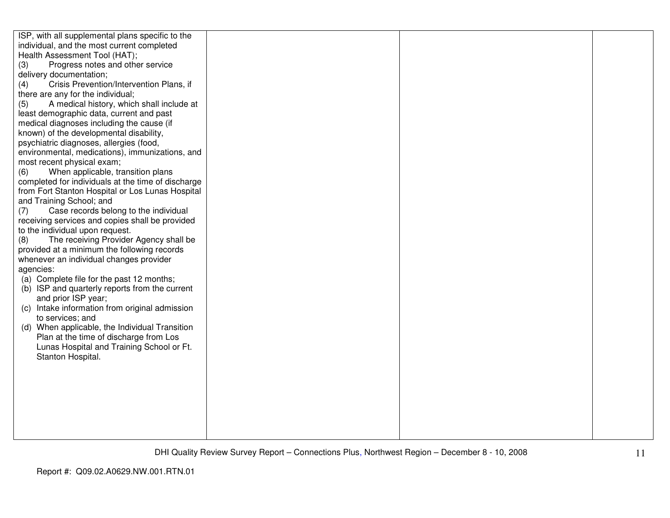| ISP, with all supplemental plans specific to the<br>individual, and the most current completed |  |  |
|------------------------------------------------------------------------------------------------|--|--|
| Health Assessment Tool (HAT);                                                                  |  |  |
| Progress notes and other service<br>(3)                                                        |  |  |
| delivery documentation;<br>Crisis Prevention/Intervention Plans, if                            |  |  |
| (4)                                                                                            |  |  |
| there are any for the individual;<br>A medical history, which shall include at                 |  |  |
| (5)<br>least demographic data, current and past                                                |  |  |
| medical diagnoses including the cause (if                                                      |  |  |
| known) of the developmental disability,                                                        |  |  |
| psychiatric diagnoses, allergies (food,                                                        |  |  |
| environmental, medications), immunizations, and                                                |  |  |
| most recent physical exam;                                                                     |  |  |
| When applicable, transition plans<br>(6)                                                       |  |  |
| completed for individuals at the time of discharge                                             |  |  |
| from Fort Stanton Hospital or Los Lunas Hospital                                               |  |  |
| and Training School; and                                                                       |  |  |
| Case records belong to the individual<br>(7)                                                   |  |  |
| receiving services and copies shall be provided                                                |  |  |
| to the individual upon request.                                                                |  |  |
| The receiving Provider Agency shall be<br>(8)                                                  |  |  |
| provided at a minimum the following records                                                    |  |  |
| whenever an individual changes provider                                                        |  |  |
| agencies:                                                                                      |  |  |
| (a) Complete file for the past 12 months;                                                      |  |  |
| (b) ISP and quarterly reports from the current                                                 |  |  |
| and prior ISP year;                                                                            |  |  |
| (c) Intake information from original admission                                                 |  |  |
| to services; and                                                                               |  |  |
| (d) When applicable, the Individual Transition                                                 |  |  |
| Plan at the time of discharge from Los                                                         |  |  |
| Lunas Hospital and Training School or Ft.                                                      |  |  |
| Stanton Hospital.                                                                              |  |  |
|                                                                                                |  |  |
|                                                                                                |  |  |
|                                                                                                |  |  |
|                                                                                                |  |  |
|                                                                                                |  |  |
|                                                                                                |  |  |
|                                                                                                |  |  |
|                                                                                                |  |  |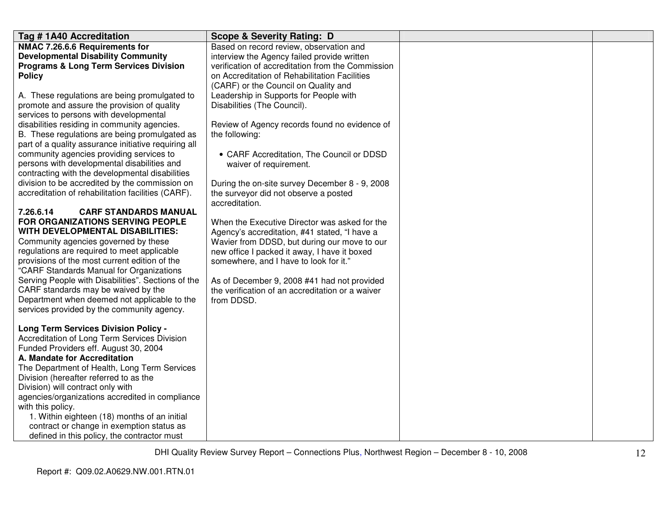| Tag #1A40 Accreditation                              | <b>Scope &amp; Severity Rating: D</b>             |  |
|------------------------------------------------------|---------------------------------------------------|--|
| NMAC 7.26.6.6 Requirements for                       | Based on record review, observation and           |  |
| <b>Developmental Disability Community</b>            | interview the Agency failed provide written       |  |
| <b>Programs &amp; Long Term Services Division</b>    | verification of accreditation from the Commission |  |
| <b>Policy</b>                                        | on Accreditation of Rehabilitation Facilities     |  |
|                                                      | (CARF) or the Council on Quality and              |  |
| A. These regulations are being promulgated to        | Leadership in Supports for People with            |  |
| promote and assure the provision of quality          | Disabilities (The Council).                       |  |
| services to persons with developmental               |                                                   |  |
| disabilities residing in community agencies.         | Review of Agency records found no evidence of     |  |
| B. These regulations are being promulgated as        | the following:                                    |  |
| part of a quality assurance initiative requiring all |                                                   |  |
| community agencies providing services to             | • CARF Accreditation, The Council or DDSD         |  |
| persons with developmental disabilities and          | waiver of requirement.                            |  |
| contracting with the developmental disabilities      |                                                   |  |
| division to be accredited by the commission on       | During the on-site survey December 8 - 9, 2008    |  |
| accreditation of rehabilitation facilities (CARF).   | the surveyor did not observe a posted             |  |
|                                                      | accreditation.                                    |  |
| 7.26.6.14<br><b>CARF STANDARDS MANUAL</b>            |                                                   |  |
| FOR ORGANIZATIONS SERVING PEOPLE                     | When the Executive Director was asked for the     |  |
| WITH DEVELOPMENTAL DISABILITIES:                     | Agency's accreditation, #41 stated, "I have a     |  |
| Community agencies governed by these                 | Wavier from DDSD, but during our move to our      |  |
| regulations are required to meet applicable          | new office I packed it away, I have it boxed      |  |
| provisions of the most current edition of the        | somewhere, and I have to look for it."            |  |
| "CARF Standards Manual for Organizations             |                                                   |  |
| Serving People with Disabilities". Sections of the   | As of December 9, 2008 #41 had not provided       |  |
| CARF standards may be waived by the                  | the verification of an accreditation or a waiver  |  |
| Department when deemed not applicable to the         | from DDSD.                                        |  |
| services provided by the community agency.           |                                                   |  |
|                                                      |                                                   |  |
| <b>Long Term Services Division Policy -</b>          |                                                   |  |
| Accreditation of Long Term Services Division         |                                                   |  |
| Funded Providers eff. August 30, 2004                |                                                   |  |
| A. Mandate for Accreditation                         |                                                   |  |
| The Department of Health, Long Term Services         |                                                   |  |
| Division (hereafter referred to as the               |                                                   |  |
| Division) will contract only with                    |                                                   |  |
| agencies/organizations accredited in compliance      |                                                   |  |
| with this policy.                                    |                                                   |  |
| 1. Within eighteen (18) months of an initial         |                                                   |  |
| contract or change in exemption status as            |                                                   |  |
| defined in this policy, the contractor must          |                                                   |  |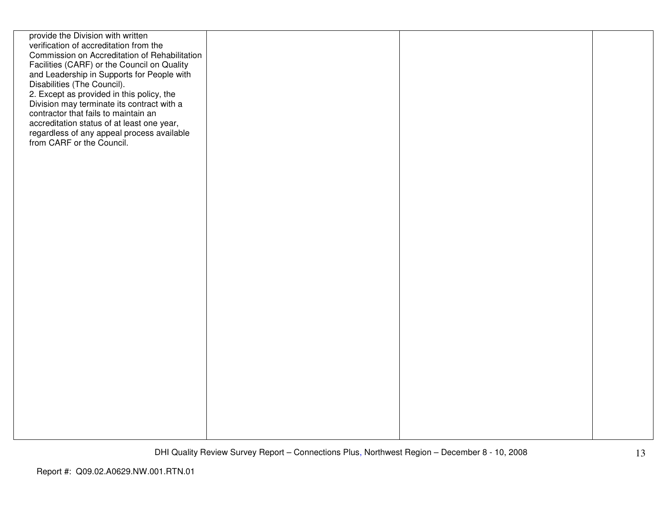| provide the Division with written<br>verification of accreditation from the<br>Commission on Accreditation of Rehabilitation<br>Facilities (CARF) or the Council on Quality<br>and Leadership in Supports for People with<br>Disabilities (The Council).<br>2. Except as provided in this policy, the<br>Division may terminate its contract with a<br>contractor that fails to maintain an<br>accreditation status of at least one year,<br>regardless of any appeal process available<br>from CARF or the Council. |  |  |
|----------------------------------------------------------------------------------------------------------------------------------------------------------------------------------------------------------------------------------------------------------------------------------------------------------------------------------------------------------------------------------------------------------------------------------------------------------------------------------------------------------------------|--|--|
|                                                                                                                                                                                                                                                                                                                                                                                                                                                                                                                      |  |  |
|                                                                                                                                                                                                                                                                                                                                                                                                                                                                                                                      |  |  |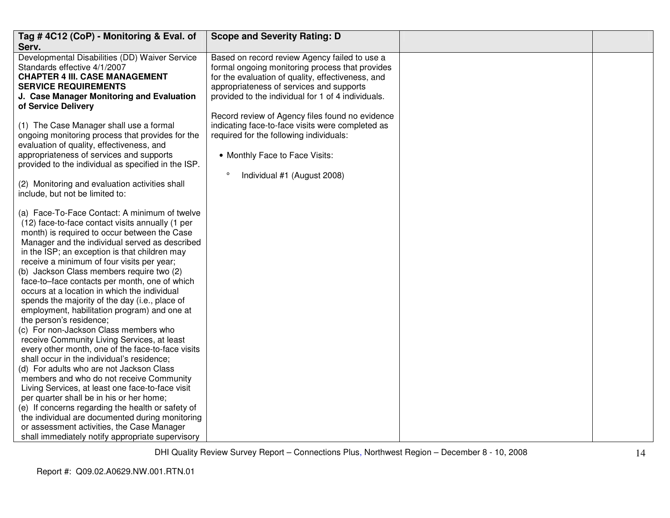| Tag #4C12 (CoP) - Monitoring & Eval. of<br>Serv.                                                                                                                                                                                                                                                                                                                                                                                                                                                                                                                                                                                                                                                                                                                                                                                                                                                                                                                                                                                                                                                                                                                           | <b>Scope and Severity Rating: D</b>                                                                                                                                                                                                                                                                        |  |
|----------------------------------------------------------------------------------------------------------------------------------------------------------------------------------------------------------------------------------------------------------------------------------------------------------------------------------------------------------------------------------------------------------------------------------------------------------------------------------------------------------------------------------------------------------------------------------------------------------------------------------------------------------------------------------------------------------------------------------------------------------------------------------------------------------------------------------------------------------------------------------------------------------------------------------------------------------------------------------------------------------------------------------------------------------------------------------------------------------------------------------------------------------------------------|------------------------------------------------------------------------------------------------------------------------------------------------------------------------------------------------------------------------------------------------------------------------------------------------------------|--|
| Developmental Disabilities (DD) Waiver Service<br>Standards effective 4/1/2007<br><b>CHAPTER 4 III. CASE MANAGEMENT</b><br><b>SERVICE REQUIREMENTS</b><br>J. Case Manager Monitoring and Evaluation<br>of Service Delivery                                                                                                                                                                                                                                                                                                                                                                                                                                                                                                                                                                                                                                                                                                                                                                                                                                                                                                                                                 | Based on record review Agency failed to use a<br>formal ongoing monitoring process that provides<br>for the evaluation of quality, effectiveness, and<br>appropriateness of services and supports<br>provided to the individual for 1 of 4 individuals.<br>Record review of Agency files found no evidence |  |
| (1) The Case Manager shall use a formal<br>ongoing monitoring process that provides for the<br>evaluation of quality, effectiveness, and<br>appropriateness of services and supports<br>provided to the individual as specified in the ISP.                                                                                                                                                                                                                                                                                                                                                                                                                                                                                                                                                                                                                                                                                                                                                                                                                                                                                                                                | indicating face-to-face visits were completed as<br>required for the following individuals:<br>• Monthly Face to Face Visits:<br>$\circ$<br>Individual #1 (August 2008)                                                                                                                                    |  |
| (2) Monitoring and evaluation activities shall<br>include, but not be limited to:                                                                                                                                                                                                                                                                                                                                                                                                                                                                                                                                                                                                                                                                                                                                                                                                                                                                                                                                                                                                                                                                                          |                                                                                                                                                                                                                                                                                                            |  |
| (a) Face-To-Face Contact: A minimum of twelve<br>(12) face-to-face contact visits annually (1 per<br>month) is required to occur between the Case<br>Manager and the individual served as described<br>in the ISP; an exception is that children may<br>receive a minimum of four visits per year;<br>(b) Jackson Class members require two (2)<br>face-to-face contacts per month, one of which<br>occurs at a location in which the individual<br>spends the majority of the day (i.e., place of<br>employment, habilitation program) and one at<br>the person's residence;<br>(c) For non-Jackson Class members who<br>receive Community Living Services, at least<br>every other month, one of the face-to-face visits<br>shall occur in the individual's residence;<br>(d) For adults who are not Jackson Class<br>members and who do not receive Community<br>Living Services, at least one face-to-face visit<br>per quarter shall be in his or her home;<br>(e) If concerns regarding the health or safety of<br>the individual are documented during monitoring<br>or assessment activities, the Case Manager<br>shall immediately notify appropriate supervisory |                                                                                                                                                                                                                                                                                                            |  |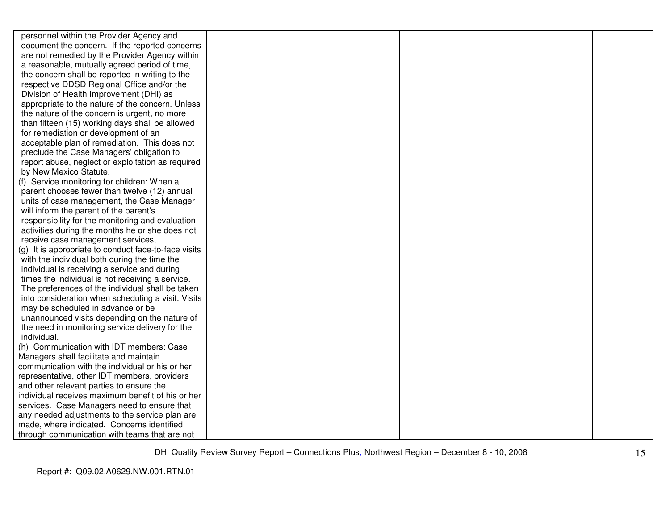| personnel within the Provider Agency and             |  |  |
|------------------------------------------------------|--|--|
| document the concern. If the reported concerns       |  |  |
| are not remedied by the Provider Agency within       |  |  |
| a reasonable, mutually agreed period of time,        |  |  |
| the concern shall be reported in writing to the      |  |  |
| respective DDSD Regional Office and/or the           |  |  |
| Division of Health Improvement (DHI) as              |  |  |
| appropriate to the nature of the concern. Unless     |  |  |
| the nature of the concern is urgent, no more         |  |  |
| than fifteen (15) working days shall be allowed      |  |  |
| for remediation or development of an                 |  |  |
| acceptable plan of remediation. This does not        |  |  |
| preclude the Case Managers' obligation to            |  |  |
| report abuse, neglect or exploitation as required    |  |  |
| by New Mexico Statute.                               |  |  |
| (f) Service monitoring for children: When a          |  |  |
| parent chooses fewer than twelve (12) annual         |  |  |
| units of case management, the Case Manager           |  |  |
| will inform the parent of the parent's               |  |  |
| responsibility for the monitoring and evaluation     |  |  |
| activities during the months he or she does not      |  |  |
| receive case management services,                    |  |  |
| (g) It is appropriate to conduct face-to-face visits |  |  |
| with the individual both during the time the         |  |  |
| individual is receiving a service and during         |  |  |
| times the individual is not receiving a service.     |  |  |
| The preferences of the individual shall be taken     |  |  |
| into consideration when scheduling a visit. Visits   |  |  |
| may be scheduled in advance or be                    |  |  |
| unannounced visits depending on the nature of        |  |  |
| the need in monitoring service delivery for the      |  |  |
| individual.                                          |  |  |
| (h) Communication with IDT members: Case             |  |  |
| Managers shall facilitate and maintain               |  |  |
| communication with the individual or his or her      |  |  |
| representative, other IDT members, providers         |  |  |
| and other relevant parties to ensure the             |  |  |
| individual receives maximum benefit of his or her    |  |  |
| services. Case Managers need to ensure that          |  |  |
| any needed adjustments to the service plan are       |  |  |
| made, where indicated. Concerns identified           |  |  |
| through communication with teams that are not        |  |  |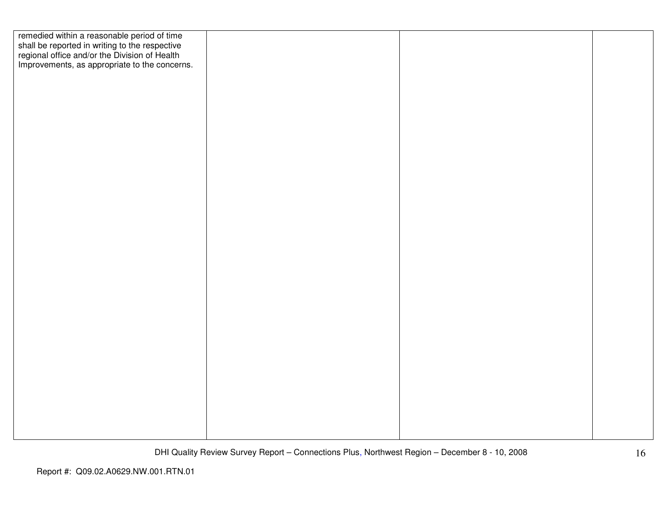| remedied within a reasonable period of time<br>shall be reported in writing to the respective<br>regional office and/or the Division of Health |  |  |
|------------------------------------------------------------------------------------------------------------------------------------------------|--|--|
|                                                                                                                                                |  |  |
|                                                                                                                                                |  |  |
| Improvements, as appropriate to the concerns.                                                                                                  |  |  |
|                                                                                                                                                |  |  |
|                                                                                                                                                |  |  |
|                                                                                                                                                |  |  |
|                                                                                                                                                |  |  |
|                                                                                                                                                |  |  |
|                                                                                                                                                |  |  |
|                                                                                                                                                |  |  |
|                                                                                                                                                |  |  |
|                                                                                                                                                |  |  |
|                                                                                                                                                |  |  |
|                                                                                                                                                |  |  |
|                                                                                                                                                |  |  |
|                                                                                                                                                |  |  |
|                                                                                                                                                |  |  |
|                                                                                                                                                |  |  |
|                                                                                                                                                |  |  |
|                                                                                                                                                |  |  |
|                                                                                                                                                |  |  |
|                                                                                                                                                |  |  |
|                                                                                                                                                |  |  |
|                                                                                                                                                |  |  |
|                                                                                                                                                |  |  |
|                                                                                                                                                |  |  |
|                                                                                                                                                |  |  |
|                                                                                                                                                |  |  |
|                                                                                                                                                |  |  |
|                                                                                                                                                |  |  |
|                                                                                                                                                |  |  |
|                                                                                                                                                |  |  |
|                                                                                                                                                |  |  |
|                                                                                                                                                |  |  |
|                                                                                                                                                |  |  |
|                                                                                                                                                |  |  |
|                                                                                                                                                |  |  |
|                                                                                                                                                |  |  |
|                                                                                                                                                |  |  |
|                                                                                                                                                |  |  |
|                                                                                                                                                |  |  |
|                                                                                                                                                |  |  |
|                                                                                                                                                |  |  |
|                                                                                                                                                |  |  |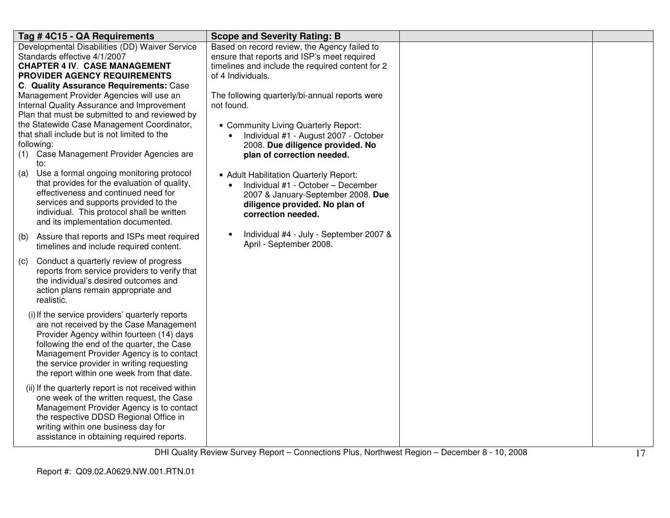| Tag #4C15 - QA Requirements                         | <b>Scope and Severity Rating: B</b>                  |  |
|-----------------------------------------------------|------------------------------------------------------|--|
| Developmental Disabilities (DD) Waiver Service      | Based on record review, the Agency failed to         |  |
| Standards effective 4/1/2007                        | ensure that reports and ISP's meet required          |  |
| <b>CHAPTER 4 IV. CASE MANAGEMENT</b>                | timelines and include the required content for 2     |  |
| PROVIDER AGENCY REQUIREMENTS                        | of 4 Individuals.                                    |  |
| C. Quality Assurance Requirements: Case             |                                                      |  |
| Management Provider Agencies will use an            | The following quarterly/bi-annual reports were       |  |
| Internal Quality Assurance and Improvement          | not found.                                           |  |
| Plan that must be submitted to and reviewed by      |                                                      |  |
| the Statewide Case Management Coordinator,          | • Community Living Quarterly Report:                 |  |
| that shall include but is not limited to the        | Individual #1 - August 2007 - October                |  |
| following:                                          | 2008. Due diligence provided. No                     |  |
| Case Management Provider Agencies are<br>(1)<br>to: | plan of correction needed.                           |  |
| Use a formal ongoing monitoring protocol<br>(a)     | • Adult Habilitation Quarterly Report:               |  |
| that provides for the evaluation of quality,        | Individual #1 - October - December                   |  |
| effectiveness and continued need for                | 2007 & January-September 2008. Due                   |  |
| services and supports provided to the               | diligence provided. No plan of                       |  |
| individual. This protocol shall be written          | correction needed.                                   |  |
| and its implementation documented.                  |                                                      |  |
| Assure that reports and ISPs meet required<br>(b)   | Individual #4 - July - September 2007 &<br>$\bullet$ |  |
| timelines and include required content.             | April - September 2008.                              |  |
| Conduct a quarterly review of progress<br>(c)       |                                                      |  |
| reports from service providers to verify that       |                                                      |  |
| the individual's desired outcomes and               |                                                      |  |
| action plans remain appropriate and                 |                                                      |  |
| realistic.                                          |                                                      |  |
|                                                     |                                                      |  |
| (i) If the service providers' quarterly reports     |                                                      |  |
| are not received by the Case Management             |                                                      |  |
| Provider Agency within fourteen (14) days           |                                                      |  |
| following the end of the quarter, the Case          |                                                      |  |
| Management Provider Agency is to contact            |                                                      |  |
| the service provider in writing requesting          |                                                      |  |
| the report within one week from that date.          |                                                      |  |
| (ii) If the quarterly report is not received within |                                                      |  |
| one week of the written request, the Case           |                                                      |  |
| Management Provider Agency is to contact            |                                                      |  |
| the respective DDSD Regional Office in              |                                                      |  |
| writing within one business day for                 |                                                      |  |
| assistance in obtaining required reports.           |                                                      |  |
|                                                     |                                                      |  |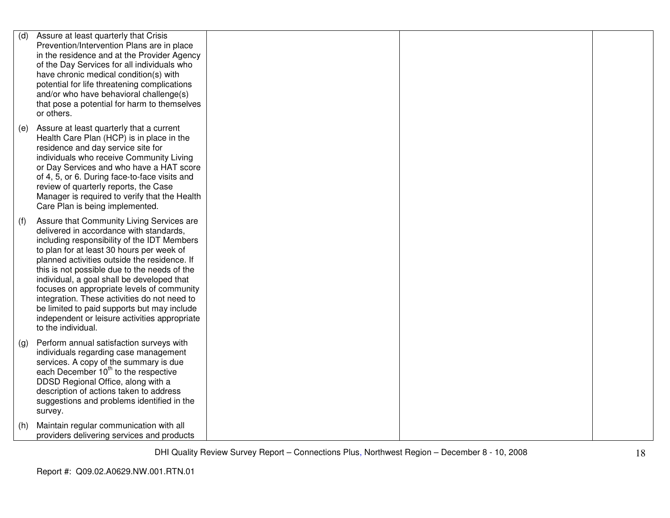| (d) | Assure at least quarterly that Crisis<br>Prevention/Intervention Plans are in place<br>in the residence and at the Provider Agency<br>of the Day Services for all individuals who<br>have chronic medical condition(s) with<br>potential for life threatening complications<br>and/or who have behavioral challenge(s)<br>that pose a potential for harm to themselves<br>or others.                                                                                                                                                               |  |  |
|-----|----------------------------------------------------------------------------------------------------------------------------------------------------------------------------------------------------------------------------------------------------------------------------------------------------------------------------------------------------------------------------------------------------------------------------------------------------------------------------------------------------------------------------------------------------|--|--|
| (e) | Assure at least quarterly that a current<br>Health Care Plan (HCP) is in place in the<br>residence and day service site for<br>individuals who receive Community Living<br>or Day Services and who have a HAT score<br>of 4, 5, or 6. During face-to-face visits and<br>review of quarterly reports, the Case<br>Manager is required to verify that the Health<br>Care Plan is being implemented.                                                                                                                                                  |  |  |
| (f) | Assure that Community Living Services are<br>delivered in accordance with standards,<br>including responsibility of the IDT Members<br>to plan for at least 30 hours per week of<br>planned activities outside the residence. If<br>this is not possible due to the needs of the<br>individual, a goal shall be developed that<br>focuses on appropriate levels of community<br>integration. These activities do not need to<br>be limited to paid supports but may include<br>independent or leisure activities appropriate<br>to the individual. |  |  |
| (g) | Perform annual satisfaction surveys with<br>individuals regarding case management<br>services. A copy of the summary is due<br>each December 10 <sup>th</sup> to the respective<br>DDSD Regional Office, along with a<br>description of actions taken to address<br>suggestions and problems identified in the<br>survey.                                                                                                                                                                                                                          |  |  |
| (h) | Maintain regular communication with all<br>providers delivering services and products                                                                                                                                                                                                                                                                                                                                                                                                                                                              |  |  |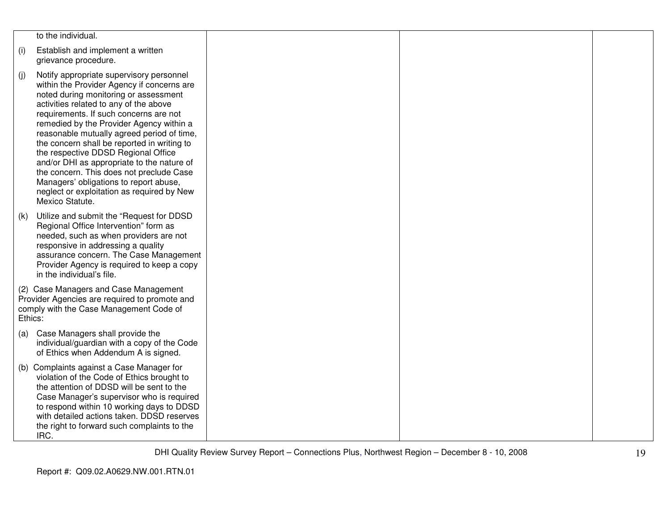|         | to the individual.                                                                                                                                                                                                                                                                                                                                                                                                                                                                                                                                                                                       |  |  |
|---------|----------------------------------------------------------------------------------------------------------------------------------------------------------------------------------------------------------------------------------------------------------------------------------------------------------------------------------------------------------------------------------------------------------------------------------------------------------------------------------------------------------------------------------------------------------------------------------------------------------|--|--|
| (i)     | Establish and implement a written<br>grievance procedure.                                                                                                                                                                                                                                                                                                                                                                                                                                                                                                                                                |  |  |
| (j)     | Notify appropriate supervisory personnel<br>within the Provider Agency if concerns are<br>noted during monitoring or assessment<br>activities related to any of the above<br>requirements. If such concerns are not<br>remedied by the Provider Agency within a<br>reasonable mutually agreed period of time,<br>the concern shall be reported in writing to<br>the respective DDSD Regional Office<br>and/or DHI as appropriate to the nature of<br>the concern. This does not preclude Case<br>Managers' obligations to report abuse,<br>neglect or exploitation as required by New<br>Mexico Statute. |  |  |
| (k)     | Utilize and submit the "Request for DDSD<br>Regional Office Intervention" form as<br>needed, such as when providers are not<br>responsive in addressing a quality<br>assurance concern. The Case Management<br>Provider Agency is required to keep a copy<br>in the individual's file.                                                                                                                                                                                                                                                                                                                   |  |  |
| Ethics: | (2) Case Managers and Case Management<br>Provider Agencies are required to promote and<br>comply with the Case Management Code of                                                                                                                                                                                                                                                                                                                                                                                                                                                                        |  |  |
| (a)     | Case Managers shall provide the<br>individual/guardian with a copy of the Code<br>of Ethics when Addendum A is signed.                                                                                                                                                                                                                                                                                                                                                                                                                                                                                   |  |  |
| (b)     | Complaints against a Case Manager for<br>violation of the Code of Ethics brought to<br>the attention of DDSD will be sent to the<br>Case Manager's supervisor who is required<br>to respond within 10 working days to DDSD<br>with detailed actions taken. DDSD reserves<br>the right to forward such complaints to the<br>IRC.                                                                                                                                                                                                                                                                          |  |  |